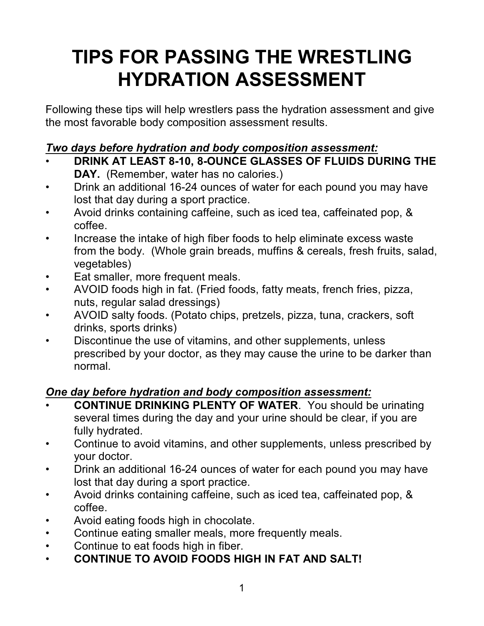# **TIPS FOR PASSING THE WRESTLING HYDRATION ASSESSMENT**

Following these tips will help wrestlers pass the hydration assessment and give the most favorable body composition assessment results.

# *Two days before hydration and body composition assessment:*

- **DRINK AT LEAST 8-10, 8-OUNCE GLASSES OF FLUIDS DURING THE**
	- **DAY.** (Remember, water has no calories.)
- Drink an additional 16-24 ounces of water for each pound you may have lost that day during a sport practice.
- Avoid drinks containing caffeine, such as iced tea, caffeinated pop, & coffee.
- Increase the intake of high fiber foods to help eliminate excess waste from the body. (Whole grain breads, muffins & cereals, fresh fruits, salad, vegetables)
- Eat smaller, more frequent meals.
- AVOID foods high in fat. (Fried foods, fatty meats, french fries, pizza, nuts, regular salad dressings)
- AVOID salty foods. (Potato chips, pretzels, pizza, tuna, crackers, soft drinks, sports drinks)
- Discontinue the use of vitamins, and other supplements, unless prescribed by your doctor, as they may cause the urine to be darker than normal.

# *One day before hydration and body composition assessment:*

- **CONTINUE DRINKING PLENTY OF WATER**. You should be urinating several times during the day and your urine should be clear, if you are fully hydrated.
- Continue to avoid vitamins, and other supplements, unless prescribed by your doctor.
- Drink an additional 16-24 ounces of water for each pound you may have lost that day during a sport practice.
- Avoid drinks containing caffeine, such as iced tea, caffeinated pop, & coffee.
- Avoid eating foods high in chocolate.
- Continue eating smaller meals, more frequently meals.
- Continue to eat foods high in fiber.
- **CONTINUE TO AVOID FOODS HIGH IN FAT AND SALT!**